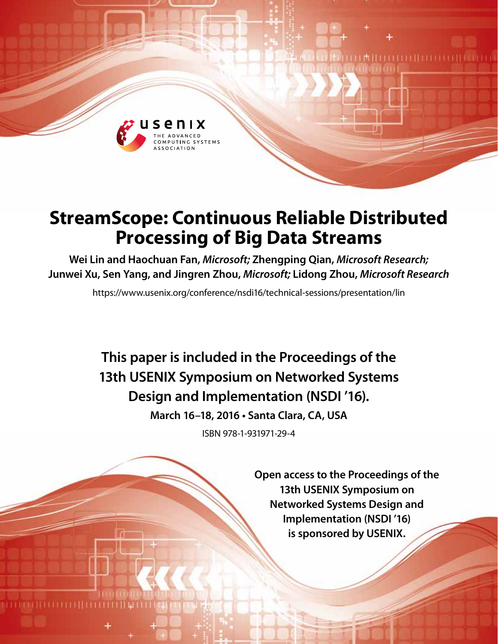

# **StreamScope: Continuous Reliable Distributed Processing of Big Data Streams**

**Wei Lin and Haochuan Fan,** *Microsoft;* **Zhengping Qian,** *Microsoft Research;*  **Junwei Xu, Sen Yang, and Jingren Zhou,** *Microsoft;* **Lidong Zhou,** *Microsoft Research*

https://www.usenix.org/conference/nsdi16/technical-sessions/presentation/lin

**This paper is included in the Proceedings of the 13th USENIX Symposium on Networked Systems Design and Implementation (NSDI '16).**

**March 16–18, 2016 • Santa Clara, CA, USA**

ISBN 978-1-931971-29-4

**Open access to the Proceedings of the 13th USENIX Symposium on Networked Systems Design and Implementation (NSDI '16) is sponsored by USENIX.**

**LA HELLELLI LELLEL**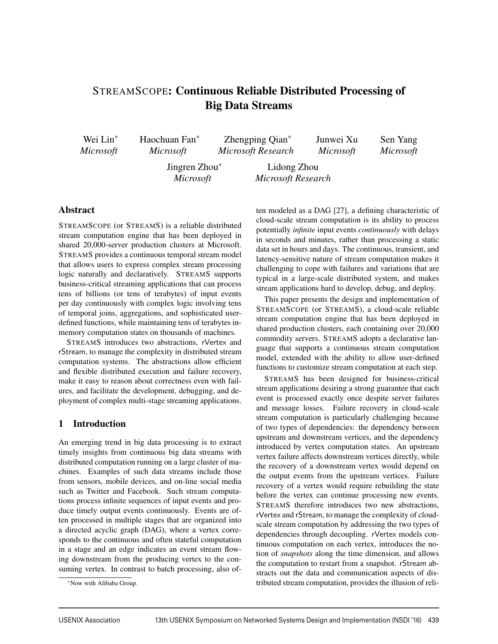# STREAMSCOPE: Continuous Reliable Distributed Processing of Big Data Streams

Wei Lin∗ *Microsoft* Haochuan Fan∗ *Microsoft* Zhengping Qian∗ *Microsoft Research* Junwei Xu *Microsoft*

Sen Yang *Microsoft*

Jingren Zhou∗ *Microsoft*

Lidong Zhou *Microsoft Research*

# Abstract

STREAMSCOPE (or STREAMS) is a reliable distributed stream computation engine that has been deployed in shared 20,000-server production clusters at Microsoft. STREAMS provides a continuous temporal stream model that allows users to express complex stream processing logic naturally and declaratively. STREAMS supports business-critical streaming applications that can process tens of billions (or tens of terabytes) of input events per day continuously with complex logic involving tens of temporal joins, aggregations, and sophisticated userdefined functions, while maintaining tens of terabytes inmemory computation states on thousands of machines.

STREAMS introduces two abstractions, rVertex and rStream, to manage the complexity in distributed stream computation systems. The abstractions allow efficient and flexible distributed execution and failure recovery, make it easy to reason about correctness even with failures, and facilitate the development, debugging, and deployment of complex multi-stage streaming applications.

# 1 Introduction

An emerging trend in big data processing is to extract timely insights from continuous big data streams with distributed computation running on a large cluster of machines. Examples of such data streams include those from sensors, mobile devices, and on-line social media such as Twitter and Facebook. Such stream computations process infinite sequences of input events and produce timely output events continuously. Events are often processed in multiple stages that are organized into a directed acyclic graph (DAG), where a vertex corresponds to the continuous and often stateful computation in a stage and an edge indicates an event stream flowing downstream from the producing vertex to the consuming vertex. In contrast to batch processing, also often modeled as a DAG [27], a defining characteristic of cloud-scale stream computation is its ability to process potentially *infinite* input events *continuously* with delays in seconds and minutes, rather than processing a static data set in hours and days. The continuous, transient, and latency-sensitive nature of stream computation makes it challenging to cope with failures and variations that are typical in a large-scale distributed system, and makes stream applications hard to develop, debug, and deploy.

This paper presents the design and implementation of STREAMSCOPE (or STREAMS), a cloud-scale reliable stream computation engine that has been deployed in shared production clusters, each containing over 20,000 commodity servers. STREAMS adopts a declarative language that supports a continuous stream computation model, extended with the ability to allow user-defined functions to customize stream computation at each step.

STREAMS has been designed for business-critical stream applications desiring a strong guarantee that each event is processed exactly once despite server failures and message losses. Failure recovery in cloud-scale stream computation is particularly challenging because of two types of dependencies: the dependency between upstream and downstream vertices, and the dependency introduced by vertex computation states. An upstream vertex failure affects downstream vertices directly, while the recovery of a downstream vertex would depend on the output events from the upstream vertices. Failure recovery of a vertex would require rebuilding the state before the vertex can continue processing new events. STREAMS therefore introduces two new abstractions, rVertex and rStream, to manage the complexity of cloudscale stream computation by addressing the two types of dependencies through decoupling. rVertex models continuous computation on each vertex, introduces the notion of *snapshots* along the time dimension, and allows the computation to restart from a snapshot. rStream abstracts out the data and communication aspects of distributed stream computation, provides the illusion of reli-

<sup>∗</sup>Now with Alibaba Group.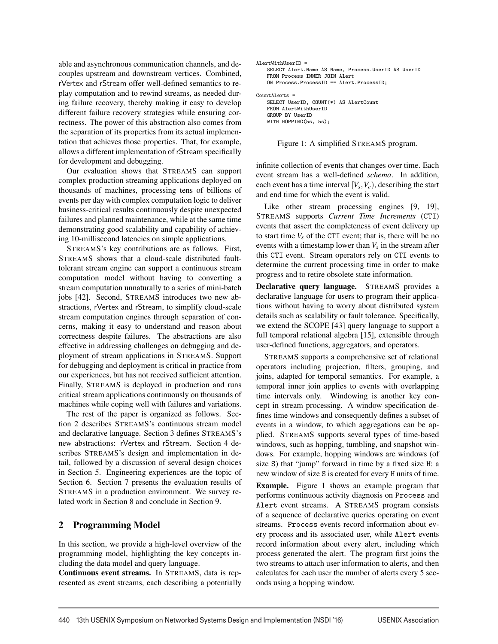able and asynchronous communication channels, and decouples upstream and downstream vertices. Combined, rVertex and rStream offer well-defined semantics to replay computation and to rewind streams, as needed during failure recovery, thereby making it easy to develop different failure recovery strategies while ensuring correctness. The power of this abstraction also comes from the separation of its properties from its actual implementation that achieves those properties. That, for example, allows a different implementation of rStream specifically for development and debugging.

Our evaluation shows that STREAMS can support complex production streaming applications deployed on thousands of machines, processing tens of billions of events per day with complex computation logic to deliver business-critical results continuously despite unexpected failures and planned maintenance, while at the same time demonstrating good scalability and capability of achieving 10-millisecond latencies on simple applications.

STREAMS's key contributions are as follows. First, STREAMS shows that a cloud-scale distributed faulttolerant stream engine can support a continuous stream computation model without having to converting a stream computation unnaturally to a series of mini-batch jobs [42]. Second, STREAMS introduces two new abstractions, rVertex and rStream, to simplify cloud-scale stream computation engines through separation of concerns, making it easy to understand and reason about correctness despite failures. The abstractions are also effective in addressing challenges on debugging and deployment of stream applications in STREAMS. Support for debugging and deployment is critical in practice from our experiences, but has not received sufficient attention. Finally, STREAMS is deployed in production and runs critical stream applications continuously on thousands of machines while coping well with failures and variations.

The rest of the paper is organized as follows. Section 2 describes STREAMS's continuous stream model and declarative language. Section 3 defines STREAMS's new abstractions: rVertex and rStream. Section 4 describes STREAMS's design and implementation in detail, followed by a discussion of several design choices in Section 5. Engineering experiences are the topic of Section 6. Section 7 presents the evaluation results of STREAMS in a production environment. We survey related work in Section 8 and conclude in Section 9.

#### 2 Programming Model

In this section, we provide a high-level overview of the programming model, highlighting the key concepts including the data model and query language.

Continuous event streams. In STREAMS, data is represented as event streams, each describing a potentially

```
AlertWithUserID =
   SELECT Alert.Name AS Name, Process.UserID AS UserID
   FROM Process INNER JOIN Alert
   ON Process.ProcessID == Alert.ProcessID;
CountAlerts =
   SELECT UserID, COUNT(*) AS AlertCount
   FROM AlertWithUserID
   GROUP BY UserID
   WITH HOPPING(5s, 5s);
```
Figure 1: A simplified STREAMS program.

infinite collection of events that changes over time. Each event stream has a well-defined *schema*. In addition, each event has a time interval  $[V_s, V_e)$ , describing the start and end time for which the event is valid.

Like other stream processing engines [9, 19], STREAMS supports *Current Time Increments* (CTI) events that assert the completeness of event delivery up to start time  $V_s$  of the CTI event; that is, there will be no events with a timestamp lower than  $V_s$  in the stream after this CTI event. Stream operators rely on CTI events to determine the current processing time in order to make progress and to retire obsolete state information.

Declarative query language. STREAMS provides a declarative language for users to program their applications without having to worry about distributed system details such as scalability or fault tolerance. Specifically, we extend the SCOPE [43] query language to support a full temporal relational algebra [15], extensible through user-defined functions, aggregators, and operators.

STREAMS supports a comprehensive set of relational operators including projection, filters, grouping, and joins, adapted for temporal semantics. For example, a temporal inner join applies to events with overlapping time intervals only. Windowing is another key concept in stream processing. A window specification defines time windows and consequently defines a subset of events in a window, to which aggregations can be applied. STREAMS supports several types of time-based windows, such as hopping, tumbling, and snapshot windows. For example, hopping windows are windows (of size S) that "jump" forward in time by a fixed size H: a new window of size S is created for every H units of time.

Example. Figure 1 shows an example program that performs continuous activity diagnosis on Process and Alert event streams. A STREAMS program consists of a sequence of declarative queries operating on event streams. Process events record information about every process and its associated user, while Alert events record information about every alert, including which process generated the alert. The program first joins the two streams to attach user information to alerts, and then calculates for each user the number of alerts every 5 seconds using a hopping window.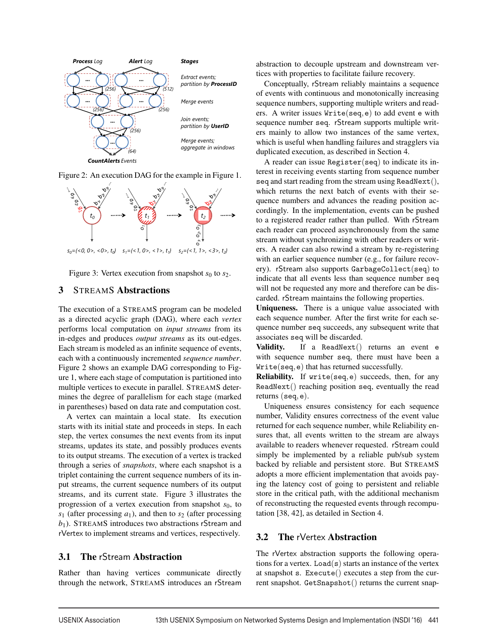

Figure 2: An execution DAG for the example in Figure 1.



Figure 3: Vertex execution from snapshot  $s_0$  to  $s_2$ .

# 3 STREAMS Abstractions

The execution of a STREAMS program can be modeled as a directed acyclic graph (DAG), where each *vertex* performs local computation on *input streams* from its in-edges and produces *output streams* as its out-edges. Each stream is modeled as an infinite sequence of events, each with a continuously incremented *sequence number*. Figure 2 shows an example DAG corresponding to Figure 1, where each stage of computation is partitioned into multiple vertices to execute in parallel. STREAMS determines the degree of parallelism for each stage (marked in parentheses) based on data rate and computation cost.

A vertex can maintain a local state. Its execution starts with its initial state and proceeds in steps. In each step, the vertex consumes the next events from its input streams, updates its state, and possibly produces events to its output streams. The execution of a vertex is tracked through a series of *snapshots*, where each snapshot is a triplet containing the current sequence numbers of its input streams, the current sequence numbers of its output streams, and its current state. Figure 3 illustrates the progression of a vertex execution from snapshot  $s<sub>0</sub>$ , to  $s_1$  (after processing  $a_1$ ), and then to  $s_2$  (after processing *b*1). STREAMS introduces two abstractions rStream and rVertex to implement streams and vertices, respectively.

# 3.1 The rStream Abstraction

Rather than having vertices communicate directly through the network, STREAMS introduces an rStream abstraction to decouple upstream and downstream vertices with properties to facilitate failure recovery.

Conceptually, rStream reliably maintains a sequence of events with continuous and monotonically increasing sequence numbers, supporting multiple writers and readers. A writer issues Write(seq,e) to add event e with sequence number seq. rStream supports multiple writers mainly to allow two instances of the same vertex, which is useful when handling failures and stragglers via duplicated execution, as described in Section 4.

A reader can issue Register(seq) to indicate its interest in receiving events starting from sequence number seq and start reading from the stream using ReadNext(), which returns the next batch of events with their sequence numbers and advances the reading position accordingly. In the implementation, events can be pushed to a registered reader rather than pulled. With rStream each reader can proceed asynchronously from the same stream without synchronizing with other readers or writers. A reader can also rewind a stream by re-registering with an earlier sequence number (e.g., for failure recovery). rStream also supports GarbageCollect(seq) to indicate that all events less than sequence number seq will not be requested any more and therefore can be discarded. rStream maintains the following properties.

Uniqueness. There is a unique value associated with each sequence number. After the first write for each sequence number seq succeeds, any subsequent write that associates seq will be discarded.

Validity. If a ReadNext() returns an event e with sequence number seq, there must have been a Write(seq,e) that has returned successfully.

Reliability. If write(seq,e) succeeds, then, for any ReadNext() reaching position seq, eventually the read returns (seq,e).

Uniqueness ensures consistency for each sequence number, Validity ensures correctness of the event value returned for each sequence number, while Reliability ensures that, all events written to the stream are always available to readers whenever requested. rStream could simply be implemented by a reliable pub/sub system backed by reliable and persistent store. But STREAMS adopts a more efficient implementation that avoids paying the latency cost of going to persistent and reliable store in the critical path, with the additional mechanism of reconstructing the requested events through recomputation [38, 42], as detailed in Section 4.

# 3.2 The rVertex Abstraction

The rVertex abstraction supports the following operations for a vertex. Load( $s$ ) starts an instance of the vertex at snapshot s. Execute() executes a step from the current snapshot. GetSnapshot() returns the current snap-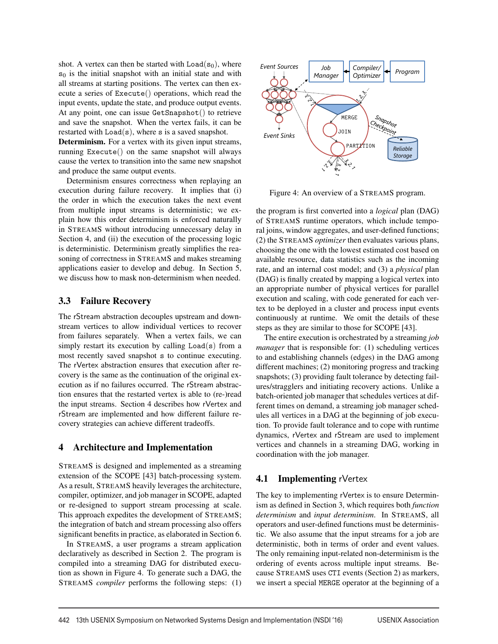shot. A vertex can then be started with  $Load(s_0)$ , where  $s<sub>0</sub>$  is the initial snapshot with an initial state and with all streams at starting positions. The vertex can then execute a series of Execute() operations, which read the input events, update the state, and produce output events. At any point, one can issue GetSnapshot() to retrieve and save the snapshot. When the vertex fails, it can be restarted with  $Load(s)$ , where s is a saved snapshot.

Determinism. For a vertex with its given input streams, running Execute() on the same snapshot will always cause the vertex to transition into the same new snapshot and produce the same output events.

Determinism ensures correctness when replaying an execution during failure recovery. It implies that (i) the order in which the execution takes the next event from multiple input streams is deterministic; we explain how this order determinism is enforced naturally in STREAMS without introducing unnecessary delay in Section 4, and (ii) the execution of the processing logic is deterministic. Determinism greatly simplifies the reasoning of correctness in STREAMS and makes streaming applications easier to develop and debug. In Section 5, we discuss how to mask non-determinism when needed.

# 3.3 Failure Recovery

The rStream abstraction decouples upstream and downstream vertices to allow individual vertices to recover from failures separately. When a vertex fails, we can simply restart its execution by calling  $Load(s)$  from a most recently saved snapshot s to continue executing. The rVertex abstraction ensures that execution after recovery is the same as the continuation of the original execution as if no failures occurred. The rStream abstraction ensures that the restarted vertex is able to (re-)read the input streams. Section 4 describes how rVertex and rStream are implemented and how different failure recovery strategies can achieve different tradeoffs.

#### 4 Architecture and Implementation

STREAMS is designed and implemented as a streaming extension of the SCOPE [43] batch-processing system. As a result, STREAMS heavily leverages the architecture, compiler, optimizer, and job manager in SCOPE, adapted or re-designed to support stream processing at scale. This approach expedites the development of STREAMS; the integration of batch and stream processing also offers significant benefits in practice, as elaborated in Section 6.

In STREAMS, a user programs a stream application declaratively as described in Section 2. The program is compiled into a streaming DAG for distributed execution as shown in Figure 4. To generate such a DAG, the STREAMS *compiler* performs the following steps: (1)



Figure 4: An overview of a STREAMS program.

the program is first converted into a *logical* plan (DAG) of STREAMS runtime operators, which include temporal joins, window aggregates, and user-defined functions; (2) the STREAMS *optimizer* then evaluates various plans, choosing the one with the lowest estimated cost based on available resource, data statistics such as the incoming rate, and an internal cost model; and (3) a *physical* plan (DAG) is finally created by mapping a logical vertex into an appropriate number of physical vertices for parallel execution and scaling, with code generated for each vertex to be deployed in a cluster and process input events continuously at runtime. We omit the details of these steps as they are similar to those for SCOPE [43].

The entire execution is orchestrated by a streaming *job manager* that is responsible for: (1) scheduling vertices to and establishing channels (edges) in the DAG among different machines; (2) monitoring progress and tracking snapshots; (3) providing fault tolerance by detecting failures/stragglers and initiating recovery actions. Unlike a batch-oriented job manager that schedules vertices at different times on demand, a streaming job manager schedules all vertices in a DAG at the beginning of job execution. To provide fault tolerance and to cope with runtime dynamics, rVertex and rStream are used to implement vertices and channels in a streaming DAG, working in coordination with the job manager.

# **4.1 Implementing rVertex**

The key to implementing rVertex is to ensure Determinism as defined in Section 3, which requires both *function determinism* and *input determinism*. In STREAMS, all operators and user-defined functions must be deterministic. We also assume that the input streams for a job are deterministic, both in terms of order and event values. The only remaining input-related non-determinism is the ordering of events across multiple input streams. Because STREAMS uses CTI events (Section 2) as markers, we insert a special MERGE operator at the beginning of a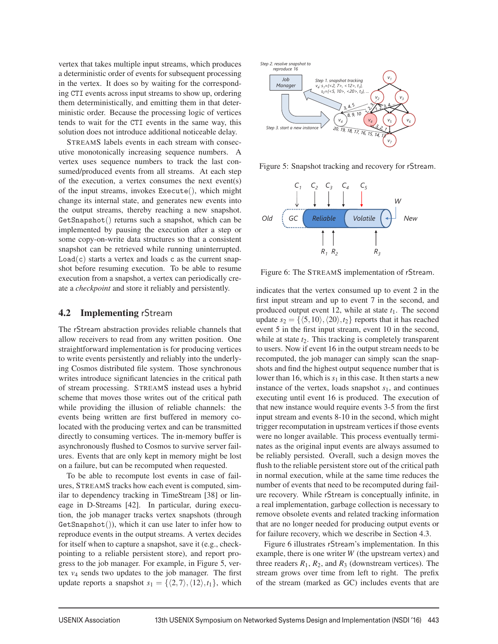vertex that takes multiple input streams, which produces a deterministic order of events for subsequent processing in the vertex. It does so by waiting for the corresponding CTI events across input streams to show up, ordering them deterministically, and emitting them in that deterministic order. Because the processing logic of vertices tends to wait for the CTI events in the same way, this solution does not introduce additional noticeable delay.

STREAMS labels events in each stream with consecutive monotonically increasing sequence numbers. A vertex uses sequence numbers to track the last consumed/produced events from all streams. At each step of the execution, a vertex consumes the next event(s) of the input streams, invokes Execute(), which might change its internal state, and generates new events into the output streams, thereby reaching a new snapshot. GetSnapshot() returns such a snapshot, which can be implemented by pausing the execution after a step or some copy-on-write data structures so that a consistent snapshot can be retrieved while running uninterrupted.  $Load(c)$  starts a vertex and loads c as the current snapshot before resuming execution. To be able to resume execution from a snapshot, a vertex can periodically create a *checkpoint* and store it reliably and persistently.

#### 4.2 Implementing rStream

The rStream abstraction provides reliable channels that allow receivers to read from any written position. One straightforward implementation is for producing vertices to write events persistently and reliably into the underlying Cosmos distributed file system. Those synchronous writes introduce significant latencies in the critical path of stream processing. STREAMS instead uses a hybrid scheme that moves those writes out of the critical path while providing the illusion of reliable channels: the events being written are first buffered in memory colocated with the producing vertex and can be transmitted directly to consuming vertices. The in-memory buffer is asynchronously flushed to Cosmos to survive server failures. Events that are only kept in memory might be lost on a failure, but can be recomputed when requested.

To be able to recompute lost events in case of failures, STREAMS tracks how each event is computed, similar to dependency tracking in TimeStream [38] or lineage in D-Streams [42]. In particular, during execution, the job manager tracks vertex snapshots (through  $Getsnapshot(), which it can use later to infer how to$ reproduce events in the output streams. A vertex decides for itself when to capture a snapshot, save it (e.g., checkpointing to a reliable persistent store), and report progress to the job manager. For example, in Figure 5, vertex *v*<sup>4</sup> sends two updates to the job manager. The first update reports a snapshot  $s_1 = \{ \langle 2, 7 \rangle, \langle 12 \rangle, t_1 \}$ , which



Figure 5: Snapshot tracking and recovery for rStream.

*v7*



Figure 6: The STREAMS implementation of rStream.

indicates that the vertex consumed up to event 2 in the first input stream and up to event 7 in the second, and produced output event 12, while at state  $t_1$ . The second update  $s_2 = \{ \langle 5, 10 \rangle, \langle 20 \rangle, t_2 \}$  reports that it has reached event 5 in the first input stream, event 10 in the second, while at state  $t_2$ . This tracking is completely transparent to users. Now if event 16 in the output stream needs to be recomputed, the job manager can simply scan the snapshots and find the highest output sequence number that is lower than 16, which is  $s_1$  in this case. It then starts a new instance of the vertex, loads snapshot  $s<sub>1</sub>$ , and continues executing until event 16 is produced. The execution of that new instance would require events 3-5 from the first input stream and events 8-10 in the second, which might trigger recomputation in upstream vertices if those events were no longer available. This process eventually terminates as the original input events are always assumed to be reliably persisted. Overall, such a design moves the flush to the reliable persistent store out of the critical path in normal execution, while at the same time reduces the number of events that need to be recomputed during failure recovery. While rStream is conceptually infinite, in a real implementation, garbage collection is necessary to remove obsolete events and related tracking information that are no longer needed for producing output events or for failure recovery, which we describe in Section 4.3.

Figure 6 illustrates rStream's implementation. In this example, there is one writer *W* (the upstream vertex) and three readers  $R_1$ ,  $R_2$ , and  $R_3$  (downstream vertices). The stream grows over time from left to right. The prefix of the stream (marked as GC) includes events that are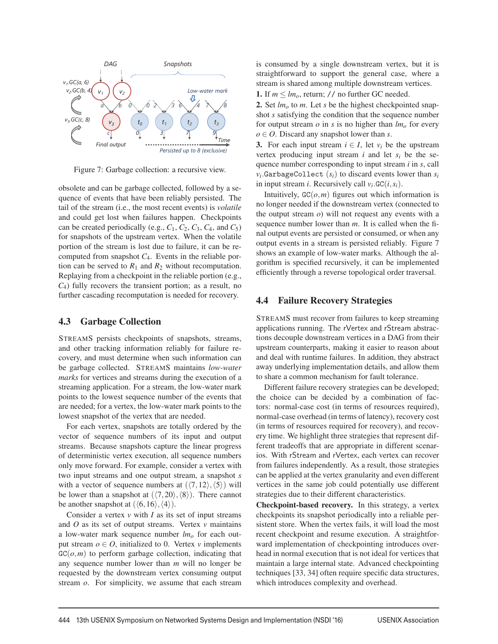

Figure 7: Garbage collection: a recursive view.

obsolete and can be garbage collected, followed by a sequence of events that have been reliably persisted. The tail of the stream (i.e., the most recent events) is *volatile* and could get lost when failures happen. Checkpoints can be created periodically (e.g.,  $C_1$ ,  $C_2$ ,  $C_3$ ,  $C_4$ , and  $C_5$ ) for snapshots of the upstream vertex. When the volatile portion of the stream is lost due to failure, it can be recomputed from snapshot *C*4. Events in the reliable portion can be served to  $R_1$  and  $R_2$  without recomputation. Replaying from a checkpoint in the reliable portion (e.g., *C*4) fully recovers the transient portion; as a result, no further cascading recomputation is needed for recovery.

#### 4.3 Garbage Collection

STREAMS persists checkpoints of snapshots, streams, and other tracking information reliably for failure recovery, and must determine when such information can be garbage collected. STREAMS maintains *low-water marks* for vertices and streams during the execution of a streaming application. For a stream, the low-water mark points to the lowest sequence number of the events that are needed; for a vertex, the low-water mark points to the lowest snapshot of the vertex that are needed.

For each vertex, snapshots are totally ordered by the vector of sequence numbers of its input and output streams. Because snapshots capture the linear progress of deterministic vertex execution, all sequence numbers only move forward. For example, consider a vertex with two input streams and one output stream, a snapshot *s* with a vector of sequence numbers at  $(\langle 7, 12 \rangle, \langle 5 \rangle)$  will be lower than a snapshot at  $(\langle 7, 20 \rangle, \langle 8 \rangle)$ . There cannot be another snapshot at  $(\langle 6, 16 \rangle, \langle 4 \rangle)$ .

Consider a vertex  $v$  with  $I$  as its set of input streams and *O* as its set of output streams. Vertex *v* maintains a low-water mark sequence number  $lm<sub>o</sub>$  for each output stream  $o \in O$ , initialized to 0. Vertex *v* implements  $GC(o,m)$  to perform garbage collection, indicating that any sequence number lower than *m* will no longer be requested by the downstream vertex consuming output stream *o*. For simplicity, we assume that each stream is consumed by a single downstream vertex, but it is straightforward to support the general case, where a stream is shared among multiple downstream vertices.

1. If  $m \leq lm_o$ , return; // no further GC needed.

2. Set  $lm<sub>o</sub>$  to *m*. Let *s* be the highest checkpointed snapshot *s* satisfying the condition that the sequence number for output stream  $\sigma$  in  $s$  is no higher than  $lm<sub>o</sub>$  for every *o* ∈ *O*. Discard any snapshot lower than *s*.

3. For each input stream  $i \in I$ , let  $v_i$  be the upstream vertex producing input stream  $i$  and let  $s_i$  be the sequence number corresponding to input stream *i* in *s*, call  $v_i$ .GarbageCollect  $(s_i)$  to discard events lower than  $s_i$ in input stream *i*. Recursively call  $v_i$ .  $GC(i, s_i)$ .

Intuitively,  $GC(o,m)$  figures out which information is no longer needed if the downstream vertex (connected to the output stream *o*) will not request any events with a sequence number lower than *m*. It is called when the final output events are persisted or consumed, or when any output events in a stream is persisted reliably. Figure 7 shows an example of low-water marks. Although the algorithm is specified recursively, it can be implemented efficiently through a reverse topological order traversal.

#### 4.4 Failure Recovery Strategies

STREAMS must recover from failures to keep streaming applications running. The rVertex and rStream abstractions decouple downstream vertices in a DAG from their upstream counterparts, making it easier to reason about and deal with runtime failures. In addition, they abstract away underlying implementation details, and allow them to share a common mechanism for fault tolerance.

Different failure recovery strategies can be developed; the choice can be decided by a combination of factors: normal-case cost (in terms of resources required), normal-case overhead (in terms of latency), recovery cost (in terms of resources required for recovery), and recovery time. We highlight three strategies that represent different tradeoffs that are appropriate in different scenarios. With rStream and rVertex, each vertex can recover from failures independently. As a result, those strategies can be applied at the vertex granularity and even different vertices in the same job could potentially use different strategies due to their different characteristics.

Checkpoint-based recovery. In this strategy, a vertex checkpoints its snapshot periodically into a reliable persistent store. When the vertex fails, it will load the most recent checkpoint and resume execution. A straightforward implementation of checkpointing introduces overhead in normal execution that is not ideal for vertices that maintain a large internal state. Advanced checkpointing techniques [33, 34] often require specific data structures, which introduces complexity and overhead.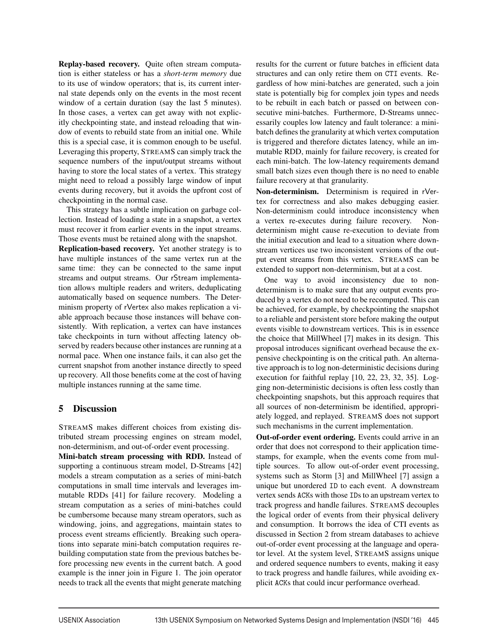Replay-based recovery. Quite often stream computation is either stateless or has a *short-term memory* due to its use of window operators; that is, its current internal state depends only on the events in the most recent window of a certain duration (say the last 5 minutes). In those cases, a vertex can get away with not explicitly checkpointing state, and instead reloading that window of events to rebuild state from an initial one. While this is a special case, it is common enough to be useful. Leveraging this property, STREAMS can simply track the sequence numbers of the input/output streams without having to store the local states of a vertex. This strategy might need to reload a possibly large window of input events during recovery, but it avoids the upfront cost of checkpointing in the normal case.

This strategy has a subtle implication on garbage collection. Instead of loading a state in a snapshot, a vertex must recover it from earlier events in the input streams. Those events must be retained along with the snapshot.

Replication-based recovery. Yet another strategy is to have multiple instances of the same vertex run at the same time: they can be connected to the same input streams and output streams. Our rStream implementation allows multiple readers and writers, deduplicating automatically based on sequence numbers. The Determinism property of rVertex also makes replication a viable approach because those instances will behave consistently. With replication, a vertex can have instances take checkpoints in turn without affecting latency observed by readers because other instances are running at a normal pace. When one instance fails, it can also get the current snapshot from another instance directly to speed up recovery. All those benefits come at the cost of having multiple instances running at the same time.

# 5 Discussion

STREAMS makes different choices from existing distributed stream processing engines on stream model, non-determinism, and out-of-order event processing.

Mini-batch stream processing with RDD. Instead of supporting a continuous stream model, D-Streams [42] models a stream computation as a series of mini-batch computations in small time intervals and leverages immutable RDDs [41] for failure recovery. Modeling a stream computation as a series of mini-batches could be cumbersome because many stream operators, such as windowing, joins, and aggregations, maintain states to process event streams efficiently. Breaking such operations into separate mini-batch computation requires rebuilding computation state from the previous batches before processing new events in the current batch. A good example is the inner join in Figure 1. The join operator needs to track all the events that might generate matching results for the current or future batches in efficient data structures and can only retire them on CTI events. Regardless of how mini-batches are generated, such a join state is potentially big for complex join types and needs to be rebuilt in each batch or passed on between consecutive mini-batches. Furthermore, D-Streams unnecessarily couples low latency and fault tolerance: a minibatch defines the granularity at which vertex computation is triggered and therefore dictates latency, while an immutable RDD, mainly for failure recovery, is created for each mini-batch. The low-latency requirements demand small batch sizes even though there is no need to enable failure recovery at that granularity.

Non-determinism. Determinism is required in rVertex for correctness and also makes debugging easier. Non-determinism could introduce inconsistency when a vertex re-executes during failure recovery. Nondeterminism might cause re-execution to deviate from the initial execution and lead to a situation where downstream vertices use two inconsistent versions of the output event streams from this vertex. STREAMS can be extended to support non-determinism, but at a cost.

One way to avoid inconsistency due to nondeterminism is to make sure that any output events produced by a vertex do not need to be recomputed. This can be achieved, for example, by checkpointing the snapshot to a reliable and persistent store before making the output events visible to downstream vertices. This is in essence the choice that MillWheel [7] makes in its design. This proposal introduces significant overhead because the expensive checkpointing is on the critical path. An alternative approach is to log non-deterministic decisions during execution for faithful replay [10, 22, 23, 32, 35]. Logging non-deterministic decisions is often less costly than checkpointing snapshots, but this approach requires that all sources of non-determinism be identified, appropriately logged, and replayed. STREAMS does not support such mechanisms in the current implementation.

Out-of-order event ordering. Events could arrive in an order that does not correspond to their application timestamps, for example, when the events come from multiple sources. To allow out-of-order event processing, systems such as Storm [3] and MillWheel [7] assign a unique but unordered ID to each event. A downstream vertex sends ACKs with those IDs to an upstream vertex to track progress and handle failures. STREAMS decouples the logical order of events from their physical delivery and consumption. It borrows the idea of CTI events as discussed in Section 2 from stream databases to achieve out-of-order event processing at the language and operator level. At the system level, STREAMS assigns unique and ordered sequence numbers to events, making it easy to track progress and handle failures, while avoiding explicit ACKs that could incur performance overhead.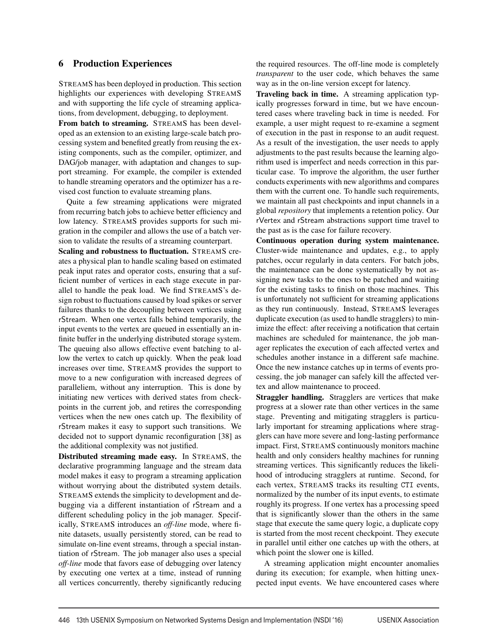#### 6 Production Experiences

STREAMS has been deployed in production. This section highlights our experiences with developing STREAMS and with supporting the life cycle of streaming applications, from development, debugging, to deployment.

From batch to streaming. STREAMS has been developed as an extension to an existing large-scale batch processing system and benefited greatly from reusing the existing components, such as the compiler, optimizer, and DAG/job manager, with adaptation and changes to support streaming. For example, the compiler is extended to handle streaming operators and the optimizer has a revised cost function to evaluate streaming plans.

Quite a few streaming applications were migrated from recurring batch jobs to achieve better efficiency and low latency. STREAMS provides supports for such migration in the compiler and allows the use of a batch version to validate the results of a streaming counterpart.

Scaling and robustness to fluctuation. STREAMS creates a physical plan to handle scaling based on estimated peak input rates and operator costs, ensuring that a sufficient number of vertices in each stage execute in parallel to handle the peak load. We find STREAMS's design robust to fluctuations caused by load spikes or server failures thanks to the decoupling between vertices using rStream. When one vertex falls behind temporarily, the input events to the vertex are queued in essentially an infinite buffer in the underlying distributed storage system. The queuing also allows effective event batching to allow the vertex to catch up quickly. When the peak load increases over time, STREAMS provides the support to move to a new configuration with increased degrees of paralleliem, without any interruption. This is done by initiating new vertices with derived states from checkpoints in the current job, and retires the corresponding vertices when the new ones catch up. The flexibility of rStream makes it easy to support such transitions. We decided not to support dynamic reconfiguration [38] as the additional complexity was not justified.

Distributed streaming made easy. In STREAMS, the declarative programming language and the stream data model makes it easy to program a streaming application without worrying about the distributed system details. STREAMS extends the simplicity to development and debugging via a different instantiation of rStream and a different scheduling policy in the job manager. Specifically, STREAMS introduces an *off-line* mode, where finite datasets, usually persistently stored, can be read to simulate on-line event streams, through a special instantiation of rStream. The job manager also uses a special *off-line* mode that favors ease of debugging over latency by executing one vertex at a time, instead of running all vertices concurrently, thereby significantly reducing

the required resources. The off-line mode is completely *transparent* to the user code, which behaves the same way as in the on-line version except for latency.

Traveling back in time. A streaming application typically progresses forward in time, but we have encountered cases where traveling back in time is needed. For example, a user might request to re-examine a segment of execution in the past in response to an audit request. As a result of the investigation, the user needs to apply adjustments to the past results because the learning algorithm used is imperfect and needs correction in this particular case. To improve the algorithm, the user further conducts experiments with new algorithms and compares them with the current one. To handle such requirements, we maintain all past checkpoints and input channels in a global *repository* that implements a retention policy. Our rVertex and rStream abstractions support time travel to the past as is the case for failure recovery.

Continuous operation during system maintenance. Cluster-wide maintenance and updates, e.g., to apply patches, occur regularly in data centers. For batch jobs, the maintenance can be done systematically by not assigning new tasks to the ones to be patched and waiting for the existing tasks to finish on those machines. This is unfortunately not sufficient for streaming applications as they run continuously. Instead, STREAMS leverages duplicate execution (as used to handle stragglers) to minimize the effect: after receiving a notification that certain machines are scheduled for maintenance, the job manager replicates the execution of each affected vertex and schedules another instance in a different safe machine. Once the new instance catches up in terms of events processing, the job manager can safely kill the affected vertex and allow maintenance to proceed.

Straggler handling. Stragglers are vertices that make progress at a slower rate than other vertices in the same stage. Preventing and mitigating stragglers is particularly important for streaming applications where stragglers can have more severe and long-lasting performance impact. First, STREAMS continuously monitors machine health and only considers healthy machines for running streaming vertices. This significantly reduces the likelihood of introducing stragglers at runtime. Second, for each vertex, STREAMS tracks its resulting CTI events, normalized by the number of its input events, to estimate roughly its progress. If one vertex has a processing speed that is significantly slower than the others in the same stage that execute the same query logic, a duplicate copy is started from the most recent checkpoint. They execute in parallel until either one catches up with the others, at which point the slower one is killed.

A streaming application might encounter anomalies during its execution; for example, when hitting unexpected input events. We have encountered cases where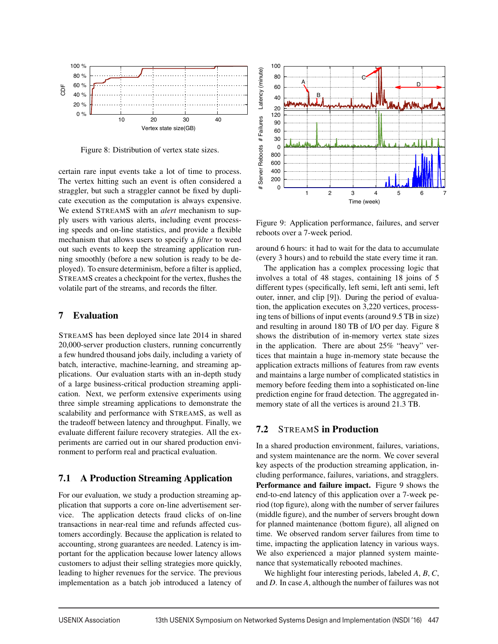

Figure 8: Distribution of vertex state sizes.

certain rare input events take a lot of time to process. The vertex hitting such an event is often considered a straggler, but such a straggler cannot be fixed by duplicate execution as the computation is always expensive. We extend STREAMS with an *alert* mechanism to supply users with various alerts, including event processing speeds and on-line statistics, and provide a flexible mechanism that allows users to specify a *filter* to weed out such events to keep the streaming application running smoothly (before a new solution is ready to be deployed). To ensure determinism, before a filter is applied, STREAMS creates a checkpoint for the vertex, flushes the volatile part of the streams, and records the filter.

# 7 Evaluation

STREAMS has been deployed since late 2014 in shared 20,000-server production clusters, running concurrently a few hundred thousand jobs daily, including a variety of batch, interactive, machine-learning, and streaming applications. Our evaluation starts with an in-depth study of a large business-critical production streaming application. Next, we perform extensive experiments using three simple streaming applications to demonstrate the scalability and performance with STREAMS, as well as the tradeoff between latency and throughput. Finally, we evaluate different failure recovery strategies. All the experiments are carried out in our shared production environment to perform real and practical evaluation.

# 7.1 A Production Streaming Application

For our evaluation, we study a production streaming application that supports a core on-line advertisement service. The application detects fraud clicks of on-line transactions in near-real time and refunds affected customers accordingly. Because the application is related to accounting, strong guarantees are needed. Latency is important for the application because lower latency allows customers to adjust their selling strategies more quickly, leading to higher revenues for the service. The previous implementation as a batch job introduced a latency of



Figure 9: Application performance, failures, and server reboots over a 7-week period.

around 6 hours: it had to wait for the data to accumulate (every 3 hours) and to rebuild the state every time it ran.

The application has a complex processing logic that involves a total of 48 stages, containing 18 joins of 5 different types (specifically, left semi, left anti semi, left outer, inner, and clip [9]). During the period of evaluation, the application executes on 3,220 vertices, processing tens of billions of input events (around 9.5 TB in size) and resulting in around 180 TB of I/O per day. Figure 8 shows the distribution of in-memory vertex state sizes in the application. There are about 25% "heavy" vertices that maintain a huge in-memory state because the application extracts millions of features from raw events and maintains a large number of complicated statistics in memory before feeding them into a sophisticated on-line prediction engine for fraud detection. The aggregated inmemory state of all the vertices is around 21.3 TB.

# 7.2 STREAMS in Production

In a shared production environment, failures, variations, and system maintenance are the norm. We cover several key aspects of the production streaming application, including performance, failures, variations, and stragglers. Performance and failure impact. Figure 9 shows the end-to-end latency of this application over a 7-week period (top figure), along with the number of server failures (middle figure), and the number of servers brought down for planned maintenance (bottom figure), all aligned on time. We observed random server failures from time to time, impacting the application latency in various ways. We also experienced a major planned system maintenance that systematically rebooted machines.

We highlight four interesting periods, labeled *A*, *B*, *C*, and *D*. In case *A*, although the number of failures was not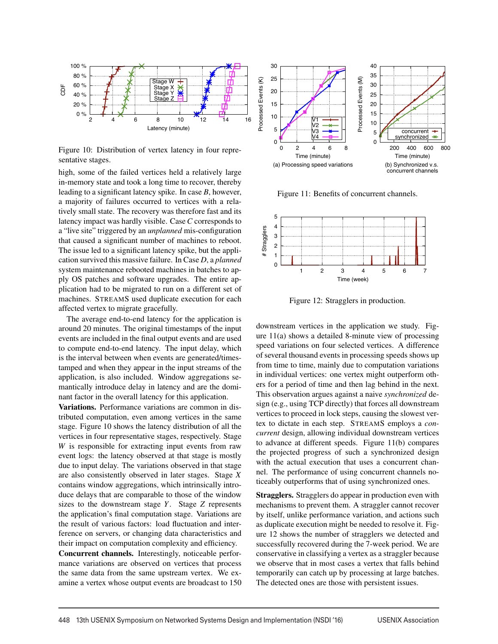

Figure 10: Distribution of vertex latency in four representative stages.

high, some of the failed vertices held a relatively large in-memory state and took a long time to recover, thereby leading to a significant latency spike. In case *B*, however, a majority of failures occurred to vertices with a relatively small state. The recovery was therefore fast and its latency impact was hardly visible. Case*C* corresponds to a "live site" triggered by an *unplanned* mis-configuration that caused a significant number of machines to reboot. The issue led to a significant latency spike, but the application survived this massive failure. In Case *D*, a *planned* system maintenance rebooted machines in batches to apply OS patches and software upgrades. The entire application had to be migrated to run on a different set of machines. STREAMS used duplicate execution for each affected vertex to migrate gracefully.

The average end-to-end latency for the application is around 20 minutes. The original timestamps of the input events are included in the final output events and are used to compute end-to-end latency. The input delay, which is the interval between when events are generated/timestamped and when they appear in the input streams of the application, is also included. Window aggregations semantically introduce delay in latency and are the dominant factor in the overall latency for this application.

Variations. Performance variations are common in distributed computation, even among vertices in the same stage. Figure 10 shows the latency distribution of all the vertices in four representative stages, respectively. Stage *W* is responsible for extracting input events from raw event logs: the latency observed at that stage is mostly due to input delay. The variations observed in that stage are also consistently observed in later stages. Stage *X* contains window aggregations, which intrinsically introduce delays that are comparable to those of the window sizes to the downstream stage *Y*. Stage *Z* represents the application's final computation stage. Variations are the result of various factors: load fluctuation and interference on servers, or changing data characteristics and their impact on computation complexity and efficiency.

Concurrent channels. Interestingly, noticeable performance variations are observed on vertices that process the same data from the same upstream vertex. We examine a vertex whose output events are broadcast to 150



Figure 11: Benefits of concurrent channels.



Figure 12: Stragglers in production.

downstream vertices in the application we study. Figure 11(a) shows a detailed 8-minute view of processing speed variations on four selected vertices. A difference of several thousand events in processing speeds shows up from time to time, mainly due to computation variations in individual vertices: one vertex might outperform others for a period of time and then lag behind in the next. This observation argues against a naive *synchronized* design (e.g., using TCP directly) that forces all downstream vertices to proceed in lock steps, causing the slowest vertex to dictate in each step. STREAMS employs a *concurrent* design, allowing individual downstream vertices to advance at different speeds. Figure 11(b) compares the projected progress of such a synchronized design with the actual execution that uses a concurrent channel. The performance of using concurrent channels noticeably outperforms that of using synchronized ones.

Stragglers. Stragglers do appear in production even with mechanisms to prevent them. A straggler cannot recover by itself, unlike performance variation, and actions such as duplicate execution might be needed to resolve it. Figure 12 shows the number of stragglers we detected and successfully recovered during the 7-week period. We are conservative in classifying a vertex as a straggler because we observe that in most cases a vertex that falls behind temporarily can catch up by processing at large batches. The detected ones are those with persistent issues.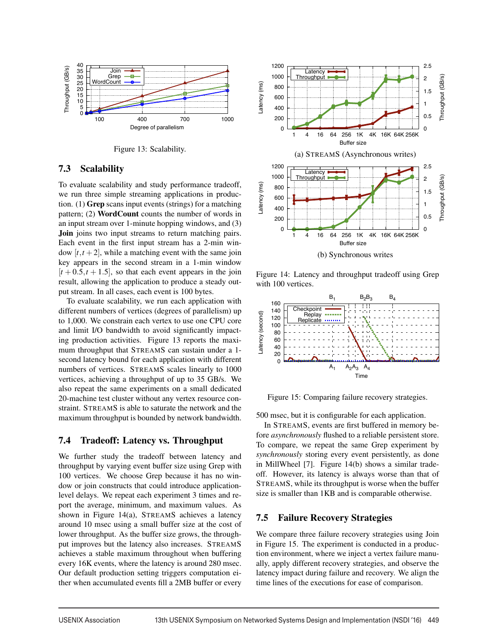

Figure 13: Scalability.

#### 7.3 Scalability

To evaluate scalability and study performance tradeoff, we run three simple streaming applications in production. (1) Grep scans input events (strings) for a matching pattern; (2) WordCount counts the number of words in an input stream over 1-minute hopping windows, and (3) Join joins two input streams to return matching pairs. Each event in the first input stream has a 2-min window  $[t, t+2]$ , while a matching event with the same join key appears in the second stream in a 1-min window  $[t + 0.5, t + 1.5]$ , so that each event appears in the join result, allowing the application to produce a steady output stream. In all cases, each event is 100 bytes.

To evaluate scalability, we run each application with different numbers of vertices (degrees of parallelism) up to 1,000. We constrain each vertex to use one CPU core and limit I/O bandwidth to avoid significantly impacting production activities. Figure 13 reports the maximum throughput that STREAMS can sustain under a 1 second latency bound for each application with different numbers of vertices. STREAMS scales linearly to 1000 vertices, achieving a throughput of up to 35 GB/s. We also repeat the same experiments on a small dedicated 20-machine test cluster without any vertex resource constraint. STREAMS is able to saturate the network and the maximum throughput is bounded by network bandwidth.

# 7.4 Tradeoff: Latency vs. Throughput

We further study the tradeoff between latency and throughput by varying event buffer size using Grep with 100 vertices. We choose Grep because it has no window or join constructs that could introduce applicationlevel delays. We repeat each experiment 3 times and report the average, minimum, and maximum values. As shown in Figure 14(a), STREAMS achieves a latency around 10 msec using a small buffer size at the cost of lower throughput. As the buffer size grows, the throughput improves but the latency also increases. STREAMS achieves a stable maximum throughout when buffering every 16K events, where the latency is around 280 msec. Our default production setting triggers computation either when accumulated events fill a 2MB buffer or every



Figure 14: Latency and throughput tradeoff using Grep with 100 vertices.



Figure 15: Comparing failure recovery strategies.

500 msec, but it is configurable for each application.

In STREAMS, events are first buffered in memory before *asynchronously* flushed to a reliable persistent store. To compare, we repeat the same Grep experiment by *synchronously* storing every event persistently, as done in MillWheel [7]. Figure 14(b) shows a similar tradeoff. However, its latency is always worse than that of STREAMS, while its throughput is worse when the buffer size is smaller than 1KB and is comparable otherwise.

#### 7.5 Failure Recovery Strategies

We compare three failure recovery strategies using Join in Figure 15. The experiment is conducted in a production environment, where we inject a vertex failure manually, apply different recovery strategies, and observe the latency impact during failure and recovery. We align the time lines of the executions for ease of comparison.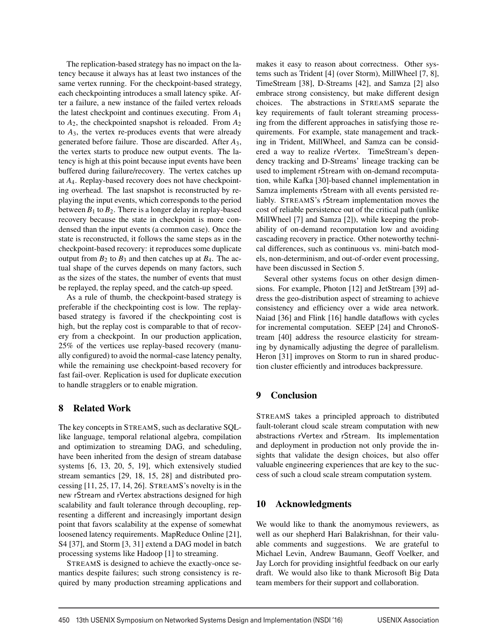The replication-based strategy has no impact on the latency because it always has at least two instances of the same vertex running. For the checkpoint-based strategy, each checkpointing introduces a small latency spike. After a failure, a new instance of the failed vertex reloads the latest checkpoint and continues executing. From *A*<sup>1</sup> to *A*2, the checkpointed snapshot is reloaded. From *A*<sup>2</sup> to *A*3, the vertex re-produces events that were already generated before failure. Those are discarded. After *A*3, the vertex starts to produce new output events. The latency is high at this point because input events have been buffered during failure/recovery. The vertex catches up at *A*4. Replay-based recovery does not have checkpointing overhead. The last snapshot is reconstructed by replaying the input events, which corresponds to the period between  $B_1$  to  $B_2$ . There is a longer delay in replay-based recovery because the state in checkpoint is more condensed than the input events (a common case). Once the state is reconstructed, it follows the same steps as in the checkpoint-based recovery: it reproduces some duplicate output from  $B_2$  to  $B_3$  and then catches up at  $B_4$ . The actual shape of the curves depends on many factors, such as the sizes of the states, the number of events that must be replayed, the replay speed, and the catch-up speed.

As a rule of thumb, the checkpoint-based strategy is preferable if the checkpointing cost is low. The replaybased strategy is favored if the checkpointing cost is high, but the replay cost is comparable to that of recovery from a checkpoint. In our production application, 25% of the vertices use replay-based recovery (manually configured) to avoid the normal-case latency penalty, while the remaining use checkpoint-based recovery for fast fail-over. Replication is used for duplicate execution to handle stragglers or to enable migration.

# 8 Related Work

The key concepts in STREAMS, such as declarative SQLlike language, temporal relational algebra, compilation and optimization to streaming DAG, and scheduling, have been inherited from the design of stream database systems [6, 13, 20, 5, 19], which extensively studied stream semantics [29, 18, 15, 28] and distributed processing [11, 25, 17, 14, 26]. STREAMS's novelty is in the new rStream and rVertex abstractions designed for high scalability and fault tolerance through decoupling, representing a different and increasingly important design point that favors scalability at the expense of somewhat loosened latency requirements. MapReduce Online [21], S4 [37], and Storm [3, 31] extend a DAG model in batch processing systems like Hadoop [1] to streaming.

STREAMS is designed to achieve the exactly-once semantics despite failures; such strong consistency is required by many production streaming applications and makes it easy to reason about correctness. Other systems such as Trident [4] (over Storm), MillWheel [7, 8], TimeStream [38], D-Streams [42], and Samza [2] also embrace strong consistency, but make different design choices. The abstractions in STREAMS separate the key requirements of fault tolerant streaming processing from the different approaches in satisfying those requirements. For example, state management and tracking in Trident, MillWheel, and Samza can be considered a way to realize rVertex. TimeStream's dependency tracking and D-Streams' lineage tracking can be used to implement rStream with on-demand recomputation, while Kafka [30]-based channel implementation in Samza implements rStream with all events persisted reliably. STREAMS's rStream implementation moves the cost of reliable persistence out of the critical path (unlike MillWheel [7] and Samza [2]), while keeping the probability of on-demand recomputation low and avoiding cascading recovery in practice. Other noteworthy technical differences, such as continuous vs. mini-batch models, non-determinism, and out-of-order event processing, have been discussed in Section 5.

Several other systems focus on other design dimensions. For example, Photon [12] and JetStream [39] address the geo-distribution aspect of streaming to achieve consistency and efficiency over a wide area network. Naiad [36] and Flink [16] handle dataflows with cycles for incremental computation. SEEP [24] and ChronoStream [40] address the resource elasticity for streaming by dynamically adjusting the degree of parallelism. Heron [31] improves on Storm to run in shared production cluster efficiently and introduces backpressure.

# 9 Conclusion

STREAMS takes a principled approach to distributed fault-tolerant cloud scale stream computation with new abstractions rVertex and rStream. Its implementation and deployment in production not only provide the insights that validate the design choices, but also offer valuable engineering experiences that are key to the success of such a cloud scale stream computation system.

# 10 Acknowledgments

We would like to thank the anomymous reviewers, as well as our shepherd Hari Balakrishnan, for their valuable comments and suggestions. We are grateful to Michael Levin, Andrew Baumann, Geoff Voelker, and Jay Lorch for providing insightful feedback on our early draft. We would also like to thank Microsoft Big Data team members for their support and collaboration.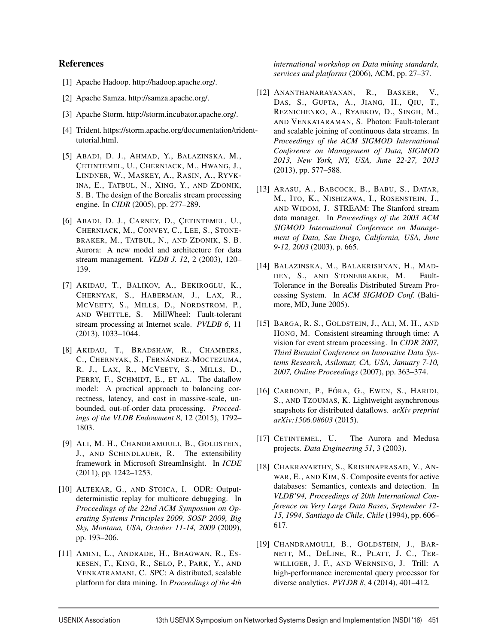# References

- [1] Apache Hadoop. http://hadoop.apache.org/.
- [2] Apache Samza. http://samza.apache.org/.
- [3] Apache Storm. http://storm.incubator.apache.org/.
- [4] Trident. https://storm.apache.org/documentation/tridenttutorial.html.
- [5] ABADI, D. J., AHMAD, Y., BALAZINSKA, M., CETINTEMEL, U., CHERNIACK, M., HWANG, J., LINDNER, W., MASKEY, A., RASIN, A., RYVK-INA, E., TATBUL, N., XING, Y., AND ZDONIK, S. B. The design of the Borealis stream processing engine. In *CIDR* (2005), pp. 277–289.
- [6] ABADI, D. J., CARNEY, D., CETINTEMEL, U., CHERNIACK, M., CONVEY, C., LEE, S., STONE-BRAKER, M., TATBUL, N., AND ZDONIK, S. B. Aurora: A new model and architecture for data stream management. *VLDB J. 12*, 2 (2003), 120– 139.
- [7] AKIDAU, T., BALIKOV, A., BEKIROGLU, K., CHERNYAK, S., HABERMAN, J., LAX, R., MCVEETY, S., MILLS, D., NORDSTROM, P., AND WHITTLE, S. MillWheel: Fault-tolerant stream processing at Internet scale. *PVLDB 6*, 11 (2013), 1033–1044.
- [8] AKIDAU, T., BRADSHAW, R., CHAMBERS, C., CHERNYAK, S., FERNÁNDEZ-MOCTEZUMA, R. J., LAX, R., MCVEETY, S., MILLS, D., PERRY, F., SCHMIDT, E., ET AL. The dataflow model: A practical approach to balancing correctness, latency, and cost in massive-scale, unbounded, out-of-order data processing. *Proceedings of the VLDB Endowment 8*, 12 (2015), 1792– 1803.
- [9] ALI, M. H., CHANDRAMOULI, B., GOLDSTEIN, J., AND SCHINDLAUER, R. The extensibility framework in Microsoft StreamInsight. In *ICDE* (2011), pp. 1242–1253.
- [10] ALTEKAR, G., AND STOICA, I. ODR: Outputdeterministic replay for multicore debugging. In *Proceedings of the 22nd ACM Symposium on Operating Systems Principles 2009, SOSP 2009, Big Sky, Montana, USA, October 11-14, 2009* (2009), pp. 193–206.
- [11] AMINI, L., ANDRADE, H., BHAGWAN, R., ES-KESEN, F., KING, R., SELO, P., PARK, Y., AND VENKATRAMANI, C. SPC: A distributed, scalable platform for data mining. In *Proceedings of the 4th*

*international workshop on Data mining standards, services and platforms* (2006), ACM, pp. 27–37.

- [12] ANANTHANARAYANAN, R., BASKER, V., DAS, S., GUPTA, A., JIANG, H., QIU, T., REZNICHENKO, A., RYABKOV, D., SINGH, M., AND VENKATARAMAN, S. Photon: Fault-tolerant and scalable joining of continuous data streams. In *Proceedings of the ACM SIGMOD International Conference on Management of Data, SIGMOD 2013, New York, NY, USA, June 22-27, 2013* (2013), pp. 577–588.
- [13] ARASU, A., BABCOCK, B., BABU, S., DATAR, M., ITO, K., NISHIZAWA, I., ROSENSTEIN, J., AND WIDOM, J. STREAM: The Stanford stream data manager. In *Proceedings of the 2003 ACM SIGMOD International Conference on Management of Data, San Diego, California, USA, June 9-12, 2003* (2003), p. 665.
- [14] BALAZINSKA, M., BALAKRISHNAN, H., MAD-DEN, S., AND STONEBRAKER, M. Fault-Tolerance in the Borealis Distributed Stream Processing System. In *ACM SIGMOD Conf.* (Baltimore, MD, June 2005).
- [15] BARGA, R. S., GOLDSTEIN, J., ALI, M. H., AND HONG, M. Consistent streaming through time: A vision for event stream processing. In *CIDR 2007, Third Biennial Conference on Innovative Data Systems Research, Asilomar, CA, USA, January 7-10, 2007, Online Proceedings* (2007), pp. 363–374.
- [16] CARBONE, P., FÓRA, G., EWEN, S., HARIDI, S., AND TZOUMAS, K. Lightweight asynchronous snapshots for distributed dataflows. *arXiv preprint arXiv:1506.08603* (2015).
- [17] CETINTEMEL, U. The Aurora and Medusa projects. *Data Engineering 51*, 3 (2003).
- [18] CHAKRAVARTHY, S., KRISHNAPRASAD, V., AN-WAR, E., AND KIM, S. Composite events for active databases: Semantics, contexts and detection. In *VLDB'94, Proceedings of 20th International Conference on Very Large Data Bases, September 12- 15, 1994, Santiago de Chile, Chile* (1994), pp. 606– 617.
- [19] CHANDRAMOULI, B., GOLDSTEIN, J., BAR-NETT, M., DELINE, R., PLATT, J. C., TER-WILLIGER, J. F., AND WERNSING, J. Trill: A high-performance incremental query processor for diverse analytics. *PVLDB 8*, 4 (2014), 401–412.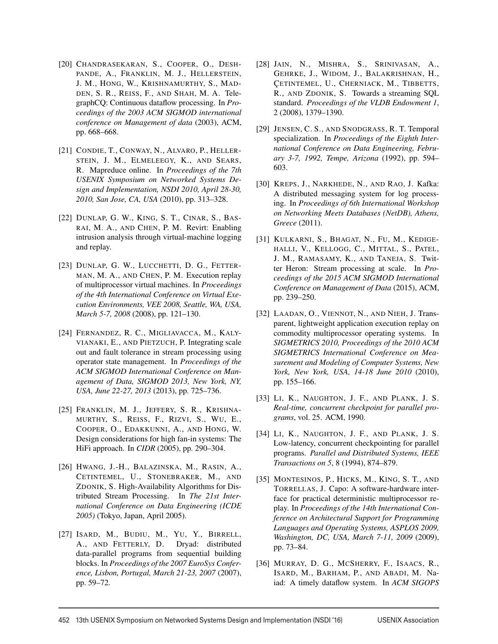- [20] CHANDRASEKARAN, S., COOPER, O., DESH-PANDE, A., FRANKLIN, M. J., HELLERSTEIN, J. M., HONG, W., KRISHNAMURTHY, S., MAD-DEN, S. R., REISS, F., AND SHAH, M. A. TelegraphCQ: Continuous dataflow processing. In *Proceedings of the 2003 ACM SIGMOD international conference on Management of data* (2003), ACM, pp. 668–668.
- [21] CONDIE, T., CONWAY, N., ALVARO, P., HELLER-STEIN, J. M., ELMELEEGY, K., AND SEARS, R. Mapreduce online. In *Proceedings of the 7th USENIX Symposium on Networked Systems Design and Implementation, NSDI 2010, April 28-30, 2010, San Jose, CA, USA* (2010), pp. 313–328.
- [22] DUNLAP, G. W., KING, S. T., CINAR, S., BAS-RAI, M. A., AND CHEN, P. M. Revirt: Enabling intrusion analysis through virtual-machine logging and replay.
- [23] DUNLAP, G. W., LUCCHETTI, D. G., FETTER-MAN, M. A., AND CHEN, P. M. Execution replay of multiprocessor virtual machines. In *Proceedings of the 4th International Conference on Virtual Execution Environments, VEE 2008, Seattle, WA, USA, March 5-7, 2008* (2008), pp. 121–130.
- [24] FERNANDEZ, R. C., MIGLIAVACCA, M., KALY-VIANAKI, E., AND PIETZUCH, P. Integrating scale out and fault tolerance in stream processing using operator state management. In *Proceedings of the ACM SIGMOD International Conference on Management of Data, SIGMOD 2013, New York, NY, USA, June 22-27, 2013* (2013), pp. 725–736.
- [25] FRANKLIN, M. J., JEFFERY, S. R., KRISHNA-MURTHY, S., REISS, F., RIZVI, S., WU, E., COOPER, O., EDAKKUNNI, A., AND HONG, W. Design considerations for high fan-in systems: The HiFi approach. In *CIDR* (2005), pp. 290–304.
- [26] HWANG, J.-H., BALAZINSKA, M., RASIN, A., CETINTEMEL, U., STONEBRAKER, M., AND ZDONIK, S. High-Availability Algorithms for Distributed Stream Processing. In *The 21st International Conference on Data Engineering (ICDE 2005)* (Tokyo, Japan, April 2005).
- [27] ISARD, M., BUDIU, M., YU, Y., BIRRELL, A., AND FETTERLY, D. Dryad: distributed data-parallel programs from sequential building blocks. In *Proceedings of the 2007 EuroSys Conference, Lisbon, Portugal, March 21-23, 2007* (2007), pp. 59–72.
- [28] JAIN, N., MISHRA, S., SRINIVASAN, A., GEHRKE, J., WIDOM, J., BALAKRISHNAN, H., CETINTEMEL, U., CHERNIACK, M., TIBBETTS, R., AND ZDONIK, S. Towards a streaming SQL standard. *Proceedings of the VLDB Endowment 1*, 2 (2008), 1379–1390.
- [29] JENSEN, C. S., AND SNODGRASS, R. T. Temporal specialization. In *Proceedings of the Eighth International Conference on Data Engineering, February 3-7, 1992, Tempe, Arizona* (1992), pp. 594– 603.
- [30] KREPS, J., NARKHEDE, N., AND RAO, J. Kafka: A distributed messaging system for log processing. In *Proceedings of 6th International Workshop on Networking Meets Databases (NetDB), Athens, Greece* (2011).
- [31] KULKARNI, S., BHAGAT, N., FU, M., KEDIGE-HALLI, V., KELLOGG, C., MITTAL, S., PATEL, J. M., RAMASAMY, K., AND TANEJA, S. Twitter Heron: Stream processing at scale. In *Proceedings of the 2015 ACM SIGMOD International Conference on Management of Data* (2015), ACM, pp. 239–250.
- [32] LAADAN, O., VIENNOT, N., AND NIEH, J. Transparent, lightweight application execution replay on commodity multiprocessor operating systems. In *SIGMETRICS 2010, Proceedings of the 2010 ACM SIGMETRICS International Conference on Measurement and Modeling of Computer Systems, New York, New York, USA, 14-18 June 2010* (2010), pp. 155–166.
- [33] LI, K., NAUGHTON, J. F., AND PLANK, J. S. *Real-time, concurrent checkpoint for parallel programs*, vol. 25. ACM, 1990.
- [34] LI, K., NAUGHTON, J. F., AND PLANK, J. S. Low-latency, concurrent checkpointing for parallel programs. *Parallel and Distributed Systems, IEEE Transactions on 5*, 8 (1994), 874–879.
- [35] MONTESINOS, P., HICKS, M., KING, S. T., AND TORRELLAS, J. Capo: A software-hardware interface for practical deterministic multiprocessor replay. In *Proceedings of the 14th International Conference on Architectural Support for Programming Languages and Operating Systems, ASPLOS 2009, Washington, DC, USA, March 7-11, 2009* (2009), pp. 73–84.
- [36] MURRAY, D. G., MCSHERRY, F., ISAACS, R., ISARD, M., BARHAM, P., AND ABADI, M. Naiad: A timely dataflow system. In *ACM SIGOPS*